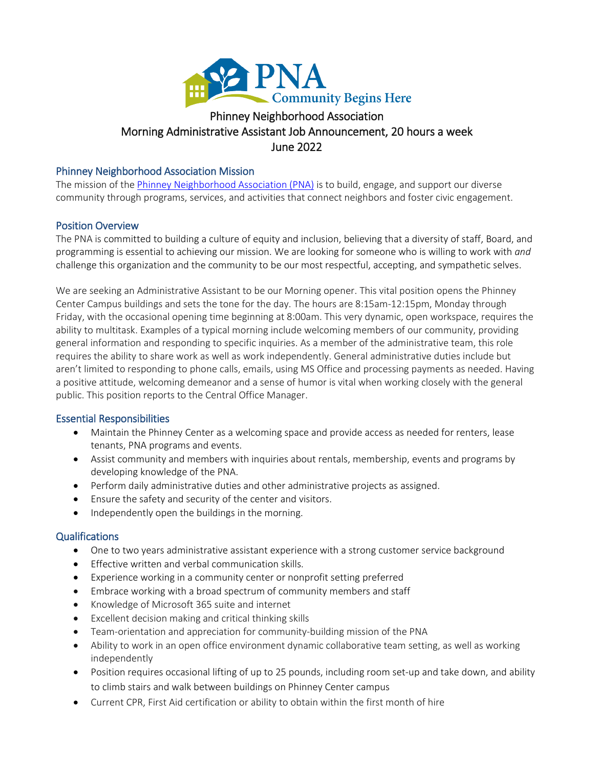

# Morning Administrative Assistant Job Announcement, 20 hours a week Phinney Neighborhood A<br>Morning Administrative Assistant Job Annc<br>June 2022<br>Phinney Neighborhood Association Mission

The mission of th[e Phinney Neighborhood Association \(PNA\)](http://www.phinneycenter.org/) is to build, engage, and support our diverse community through programs, services, and activities that connect neighbors and foster civic engagement.

# Position Overview

The PNA is committed to building a culture of equity and inclusion, believing that a diversity of staff, Board, and programming is essential to achieving our mission. We are looking for someone who is willing to work with *and* challenge this organization and the community to be our most respectful, accepting, and sympathetic selves.

We are seeking an Administrative Assistant to be our Morning opener. This vital position opens the Phinney Center Campus buildings and sets the tone for the day. The hours are 8:15am-12:15pm, Monday through Friday, with the occasional opening time beginning at 8:00am. This very dynamic, open workspace, requires the ability to multitask. Examples of a typical morning include welcoming members of our community, providing general information and responding to specific inquiries. As a member of the administrative team, this role requires the ability to share work as well as work independently. General administrative duties include but aren't limited to responding to phone calls, emails, using MS Office and processing payments as needed. Having a positive attitude, welcoming demeanor and a sense of humor is vital when working closely with the general public. This position reports to the Central Office Manager.

# Essential Responsibilities

- Maintain the Phinney Center as a welcoming space and provide access as needed for renters, lease tenants, PNA programs and events.
- Assist community and members with inquiries about rentals, membership, events and programs by developing knowledge of the PNA.
- Perform daily administrative duties and other administrative projects as assigned.
- Ensure the safety and security of the center and visitors.
- Independently open the buildings in the morning.

# Qualifications

- One to two years administrative assistant experience with a strong customer service background
- Effective written and verbal communication skills.
- Experience working in a community center or nonprofit setting preferred
- Embrace working with a broad spectrum of community members and staff
- Knowledge of Microsoft 365 suite and internet
- Excellent decision making and critical thinking skills
- Team-orientation and appreciation for community-building mission of the PNA
- Ability to work in an open office environment dynamic collaborative team setting, as well as working independently
- Position requires occasional lifting of up to 25 pounds, including room set-up and take down, and ability to climb stairs and walk between buildings on Phinney Center campus
- Current CPR, First Aid certification or ability to obtain within the first month of hire